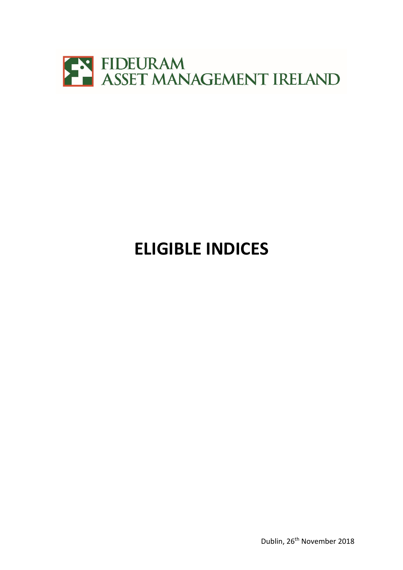

## **ELIGIBLE INDICES**